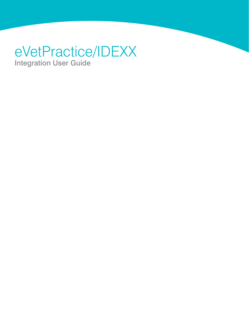# eVetPractice/IDEXX Integration User Guide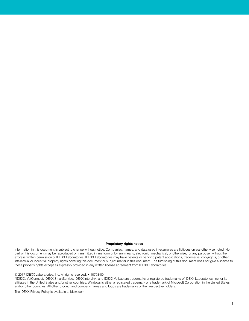#### **Proprietary rights notice**

Information in this document is subject to change without notice. Companies, names, and data used in examples are fictitious unless otherwise noted. No part of this document may be reproduced or transmitted in any form or by any means, electronic, mechanical, or otherwise, for any purpose, without the express written permission of IDEXX Laboratories. IDEXX Laboratories may have patents or pending patent applications, trademarks, copyrights, or other intellectual or industrial property rights covering this document or subject matter in this document. The furnishing of this document does not give a license to these property rights except as expressly provided in any written license agreement from IDEXX Laboratories.

#### © 2017 IDEXX Laboratories, Inc. All rights reserved. • 10708-00

\*IDEXX, VetConnect, IDEXX SmartService, IDEXX InterLink, and IDEXX VetLab are trademarks or registered trademarks of IDEXX Laboratories, Inc. or its affiliates in the United States and/or other countries. Windows is either a registered trademark or a trademark of Microsoft Corporation in the United States and/or other countries. All other product and company names and logos are trademarks of their respective holders.

The IDEXX Privacy Policy is available at idexx.com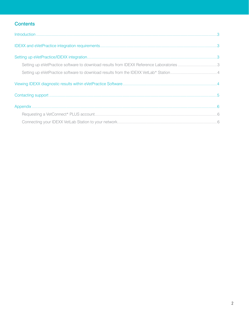# **Contents**

| Setting up eVetPractice software to download results from IDEXX Reference Laboratories 3 |  |
|------------------------------------------------------------------------------------------|--|
|                                                                                          |  |
|                                                                                          |  |
|                                                                                          |  |
|                                                                                          |  |
|                                                                                          |  |
|                                                                                          |  |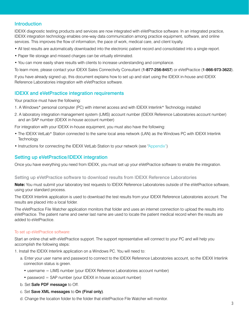### <span id="page-3-0"></span>**Introduction**

IDEXX diagnostic testing products and services are now integrated with eVetPractice software. In an integrated practice, IDEXX integration technology enables one-way data communication among practice equipment, software, and online services. This improves the flow of information, the pace of work, medical care, and client loyalty.

- All test results are automatically downloaded into the electronic patient record and consolidated into a single report.
- Paper file storage and missed charges can be virtually eliminated.
- You can more easily share results with clients to increase understanding and compliance.

To learn more, please contact your IDEXX Sales Connectivity Consultant (1-877-256-8457) or eVetPractice (1-866-973-3622).

If you have already signed up, this document explains how to set up and start using the IDEXX in-house and IDEXX Reference Laboratories integration with eVetPractice software.

## <span id="page-3-1"></span>IDEXX and eVetPractice integration requirements

Your practice must have the following:

- 1. A Windows\* personal computer (PC) with internet access and with IDEXX Interlink\* Technology installed
- 2. A laboratory integration management system (LIMS) account number (IDEXX Reference Laboratories account number) and an SAP number (IDEXX in-house account number)

For integration with your IDEXX in-house equipment, you must also have the following:

- The IDEXX VetLab\* Station connected to the same local area network (LAN) as the Windows PC with IDEXX Interlink **Technology**
- Instructions for connecting the IDEXX VetLab Station to your network (see ["Appendix"](#page-6-3))

### <span id="page-3-2"></span>Setting up eVetPractice/IDEXX integration

Once you have everything you need from IDEXX, you must set up your eVetPractice software to enable the integration.

#### <span id="page-3-3"></span>Setting up eVetPractice software to download results from IDEXX Reference Laboratories

**Note:** You must submit your laboratory test requests to IDEXX Reference Laboratories outside of the eVetPractice software, using your standard process.

The IDEXX Interlink application is used to download the test results from your IDEXX Reference Laboratories account. The results are placed into a local folder.

The eVetPractice File Watcher application monitors that folder and uses an internet connection to upload the results into eVetPractice. The patient name and owner last name are used to locate the patient medical record when the results are added to eVetPractice.

#### To set up eVetPractice software:

Start an online chat with eVetPractice support. The support representative will connect to your PC and will help you accomplish the following steps:

1. Install the IDEXX Interlink application on a Windows PC. You will need to:

- a. Enter your user name and password to connect to the IDEXX Reference Laboratories account, so the IDEXX Interlink connection status is green.
	- username = LIMS number (your IDEXX Reference Laboratories account number)
	- password = SAP number (your IDEXX in house account number)
- b. Set Safe PDF message to Off.
- c. Set Save XML messages to On (Final only).
- d. Change the location folder to the folder that eVetPractice File Watcher will monitor.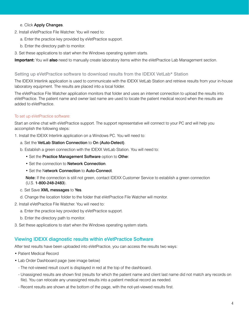#### e. Click Apply Changes.

- 2. Install eVetPractice File Watcher. You will need to:
	- a. Enter the practice key provided by eVetPractice support.
	- b. Enter the directory path to monitor.
- 3. Set these applications to start when the Windows operating system starts.

**Important:** You will **also** need to manually create laboratory items within the eVetPractice Lab Management section.

#### <span id="page-4-0"></span>Setting up eVetPractice software to download results from the IDEXX VetLab\* Station

The IDEXX Interlink application is used to communicate with the IDEXX VetLab Station and retrieve results from your in-house laboratory equipment. The results are placed into a local folder.

The eVetPractice File Watcher application monitors that folder and uses an internet connection to upload the results into eVetPractice. The patient name and owner last name are used to locate the patient medical record when the results are added to eVetPractice.

#### To set up eVetPractice software:

Start an online chat with eVetPractice support. The support representative will connect to your PC and will help you accomplish the following steps:

1. Install the IDEXX Interlink application on a Windows PC. You will need to:

- a. Set the VetLab Station Connection to On (Auto-Detect).
- b. Establish a green connection with the IDEXX VetLab Station. You will need to:
	- Set the Practice Management Software option to Other.
	- Set the connection to **Network Connection**.
	- Set the Network Connection to Auto-Connect.

Note: If the connection is still not green, contact IDEXX Customer Service to establish a green connection (U.S. 1-800-248-2483).

#### c. Set Save XML messages to Yes.

- d. Change the location folder to the folder that eVetPractice File Watcher will monitor.
- 2. Install eVetPractice File Watcher. You will need to:
	- a. Enter the practice key provided by eVetPractice support.
	- b. Enter the directory path to monitor.
- 3. Set these applications to start when the Windows operating system starts.

#### <span id="page-4-1"></span>Viewing IDEXX diagnostic results within eVetPractice Software

After test results have been uploaded into eVetPractice, you can access the results two ways:

- Patient Medical Record
- Lab Order Dashboard page (see image below)
	- The not-viewed result count is displayed in red at the top of the dashboard.
	- Unassigned results are shown first (results for which the patient name and client last name did not match any records on file). You can relocate any unassigned results into a patient medical record as needed.
	- Recent results are shown at the bottom of the page, with the not-yet-viewed results first.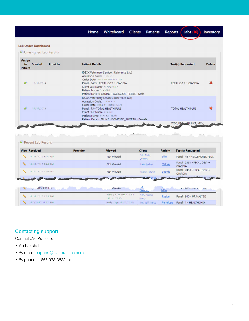Whiteboard Clients Home

Inventory

#### **Lab Order Dashboard**

**& Unassigned Lab Results** 

| <b>Assign</b><br>to<br><b>Patient</b> | <b>Created</b> | <b>Provider</b> | <b>Patient Details</b>                                                                                                                                                                                                                                             | <b>Test(s) Requested</b> | <b>Delete</b> |
|---------------------------------------|----------------|-----------------|--------------------------------------------------------------------------------------------------------------------------------------------------------------------------------------------------------------------------------------------------------------------|--------------------------|---------------|
|                                       | 10/19/2014     |                 | IDEXX Veterinary Services (Reference Lab)<br>Accession Code: West Management<br>Order Date: 2014-10-18105-17:41.<br>Panel: 2463 - FECAL O&P + GIARDIA<br>Client Last Name: RENNINGER<br>Patient Name: CCXXXXIX<br>Patient Details: CANINE - LABRADOR_RETRIE - Male | FECAL O&P + GIARDIA      |               |
|                                       | 11/11/2014     |                 | <b>IDEXX Veterinary Services (Reference Lab)</b><br>Order Date: 2014 11 08106.24.23<br>Panel: 75 - TOTAL HEALTH PLUS<br>Client Last Name: 1 34 Million<br>Patient Name: BLACKH BEAR<br>Patient Details: FELINE - DOMESTIC_SHORTH - Female                          | TOTAL HEALTH PLUS        |               |

| <b>View Received</b>            | <b>Provider</b> | <b>Viewed</b>               | <b>Client</b>      | <b>Patient</b> | <b>Test(s) Requested</b>                    |
|---------------------------------|-----------------|-----------------------------|--------------------|----------------|---------------------------------------------|
| <b>CONTRACTOR</b> AND           |                 | Not Viewed                  | Mr. Mike<br>GREEN! | Slim           | Panel: 46 - HEALTHCHEK PLUS                 |
| 31/18/2015 A 44-AM<br>╲         |                 | Not Viewed                  | Kem Sarber         | Oakley         | Panel: 2463 - FECAL O&P +<br><b>GIARDIA</b> |
| ╲<br><b>ARTISTORIS STERRING</b> |                 | Not Viewed                  | Neprica Blune      | Sophie         | Panel: 2463 - FECAL O&P +<br><b>GIARDIA</b> |
|                                 |                 |                             |                    |                |                                             |
|                                 | Viewed Viewed   |                             |                    | Mew            | home deviator reparts. The as-              |
| <b>TELLI DISTORMAN</b>          |                 | Peace's R. Personel, D.Y.M. | Mits, Names        | Phebe          | Panel: 910 - URINALYSIS                     |
|                                 |                 | (11.11.7015).               | <b>Sarry</b>       |                |                                             |

## <span id="page-5-0"></span>Contacting support

Contact eVetPractice:

- Via live chat
- By email: support@evetpractice.com
- By phone: 1-866-973-3622, ext. 1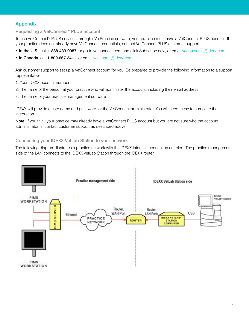# <span id="page-6-3"></span><span id="page-6-0"></span>Appendix

#### <span id="page-6-1"></span>Requesting a VetConnect\* PLUS account

To use VetConnect\* PLUS services through eVetPractice software, your practice must have a VetConnect PLUS account. If your practice does not already have VetConnect credentials, contact VetConnect PLUS customer support:

- In the U.S., call 1-888-433-9987, or go to vetconnect.com and click Subscribe now, or email vccontactus@idexx.com
- In Canada, call 1-800-667-3411, or email vccanada@idexx.com

Ask customer support to set up a VetConnect account for you. Be prepared to provide the following information to a support representative:

- 1. Your IDEXX account number
- 2. The name of the person at your practice who will administer the account, including their email address
- 3. The name of your practice management software

IDEXX will provide a user name and password for the VetConnect administrator. You will need these to complete the integration.

Note: If you think your practice may already have a VetConnect PLUS account but you are not sure who the account administrator is, contact customer support as described above.

#### <span id="page-6-2"></span>Connecting your IDEXX VetLab Station to your network

The following diagram illustrates a practice network with the IDEXX InterLink connection enabled. The practice management side of the LAN connects to the IDEXX VetLab Station through the IDEXX router.